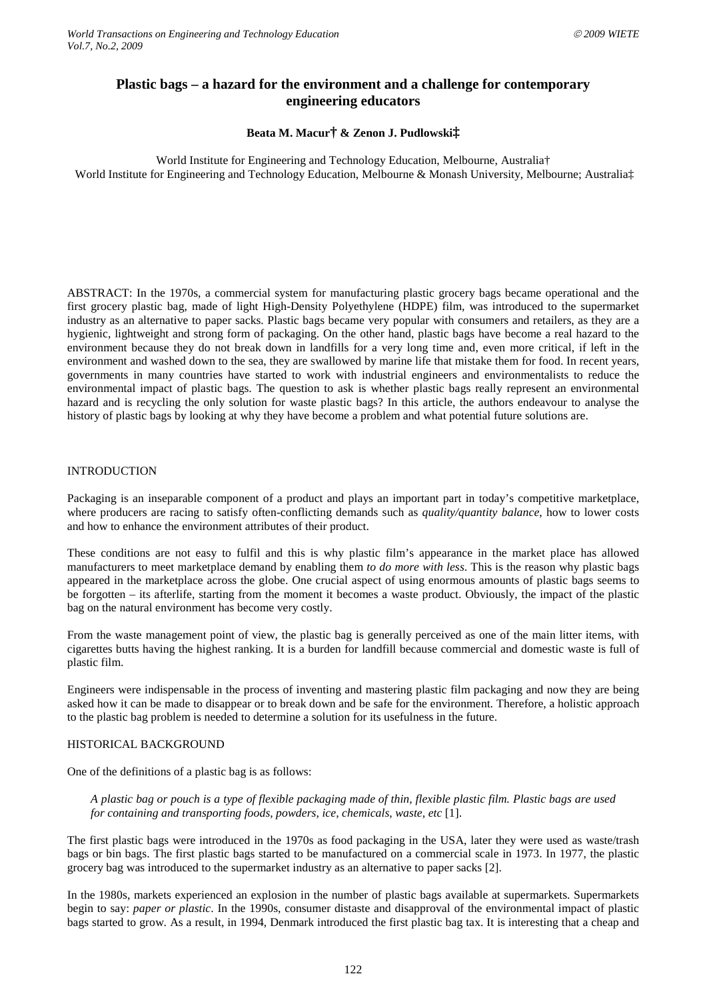# **Plastic bags – a hazard for the environment and a challenge for contemporary engineering educators**

### **Beata M. Macur† & Zenon J. Pudlowski‡**

World Institute for Engineering and Technology Education, Melbourne, Australia† World Institute for Engineering and Technology Education, Melbourne & Monash University, Melbourne; Australia‡

ABSTRACT: In the 1970s, a commercial system for manufacturing plastic grocery bags became operational and the first grocery plastic bag, made of light High-Density Polyethylene (HDPE) film, was introduced to the supermarket industry as an alternative to paper sacks. Plastic bags became very popular with consumers and retailers, as they are a hygienic, lightweight and strong form of packaging. On the other hand, plastic bags have become a real hazard to the environment because they do not break down in landfills for a very long time and, even more critical, if left in the environment and washed down to the sea, they are swallowed by marine life that mistake them for food. In recent years, governments in many countries have started to work with industrial engineers and environmentalists to reduce the environmental impact of plastic bags. The question to ask is whether plastic bags really represent an environmental hazard and is recycling the only solution for waste plastic bags? In this article, the authors endeavour to analyse the history of plastic bags by looking at why they have become a problem and what potential future solutions are.

#### INTRODUCTION

Packaging is an inseparable component of a product and plays an important part in today's competitive marketplace, where producers are racing to satisfy often-conflicting demands such as *quality/quantity balance*, how to lower costs and how to enhance the environment attributes of their product.

These conditions are not easy to fulfil and this is why plastic film's appearance in the market place has allowed manufacturers to meet marketplace demand by enabling them *to do more with less*. This is the reason why plastic bags appeared in the marketplace across the globe. One crucial aspect of using enormous amounts of plastic bags seems to be forgotten – its afterlife, starting from the moment it becomes a waste product. Obviously, the impact of the plastic bag on the natural environment has become very costly.

From the waste management point of view, the plastic bag is generally perceived as one of the main litter items, with cigarettes butts having the highest ranking. It is a burden for landfill because commercial and domestic waste is full of plastic film.

Engineers were indispensable in the process of inventing and mastering plastic film packaging and now they are being asked how it can be made to disappear or to break down and be safe for the environment. Therefore, a holistic approach to the plastic bag problem is needed to determine a solution for its usefulness in the future.

### HISTORICAL BACKGROUND

One of the definitions of a plastic bag is as follows:

*A plastic bag or pouch is a type of flexible packaging made of thin, flexible plastic film. Plastic bags are used for containing and transporting foods, powders, ice, chemicals, waste, etc* [1].

The first plastic bags were introduced in the 1970s as food packaging in the USA, later they were used as waste/trash bags or bin bags. The first plastic bags started to be manufactured on a commercial scale in 1973. In 1977, the plastic grocery bag was introduced to the supermarket industry as an alternative to paper sacks [2].

In the 1980s, markets experienced an explosion in the number of plastic bags available at supermarkets. Supermarkets begin to say: *paper or plastic*. In the 1990s, consumer distaste and disapproval of the environmental impact of plastic bags started to grow. As a result, in 1994, Denmark introduced the first plastic bag tax. It is interesting that a cheap and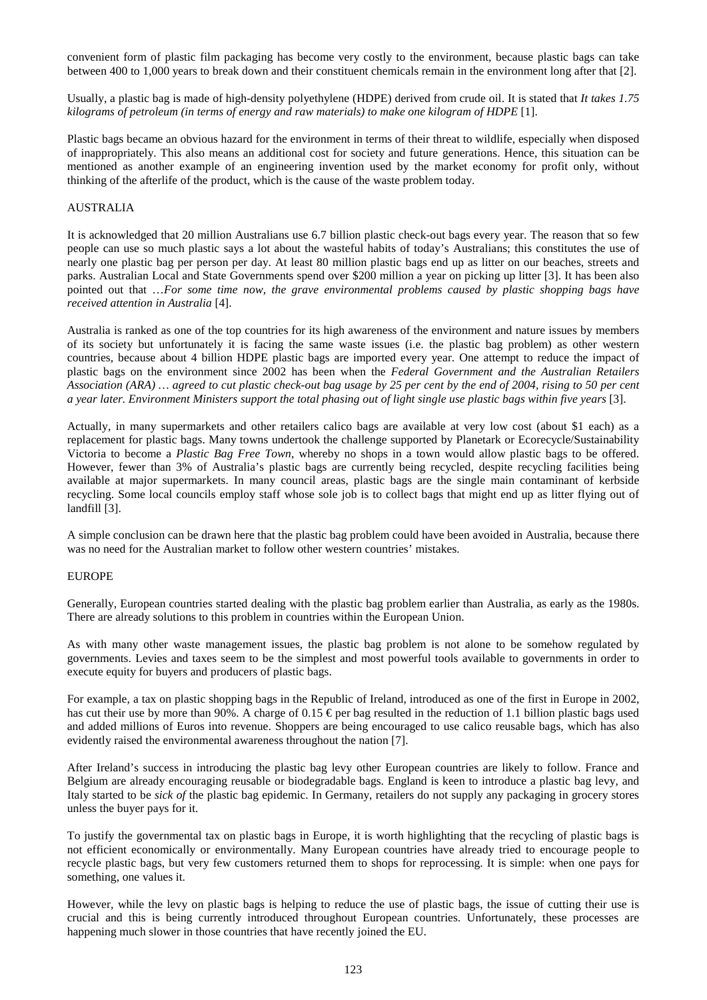convenient form of plastic film packaging has become very costly to the environment, because plastic bags can take between 400 to 1,000 years to break down and their constituent chemicals remain in the environment long after that [2].

Usually, a plastic bag is made of high-density polyethylene (HDPE) derived from crude oil. It is stated that *It takes 1.75 kilograms of petroleum (in terms of energy and raw materials) to make one kilogram of HDPE* [1].

Plastic bags became an obvious hazard for the environment in terms of their threat to wildlife, especially when disposed of inappropriately. This also means an additional cost for society and future generations. Hence, this situation can be mentioned as another example of an engineering invention used by the market economy for profit only, without thinking of the afterlife of the product, which is the cause of the waste problem today.

#### AUSTRALIA

It is acknowledged that 20 million Australians use 6.7 billion plastic check-out bags every year. The reason that so few people can use so much plastic says a lot about the wasteful habits of today's Australians; this constitutes the use of nearly one plastic bag per person per day. At least 80 million plastic bags end up as litter on our beaches, streets and parks. Australian Local and State Governments spend over \$200 million a year on picking up litter [3]. It has been also pointed out that …*For some time now, the grave environmental problems caused by plastic shopping bags have received attention in Australia* [4].

Australia is ranked as one of the top countries for its high awareness of the environment and nature issues by members of its society but unfortunately it is facing the same waste issues (i.e. the plastic bag problem) as other western countries, because about 4 billion HDPE plastic bags are imported every year. One attempt to reduce the impact of plastic bags on the environment since 2002 has been when the *Federal Government and the Australian Retailers Association (ARA) … agreed to cut plastic check-out bag usage by 25 per cent by the end of 2004, rising to 50 per cent a year later. Environment Ministers support the total phasing out of light single use plastic bags within five years* [3].

Actually, in many supermarkets and other retailers calico bags are available at very low cost (about \$1 each) as a replacement for plastic bags. Many towns undertook the challenge supported by Planetark or Ecorecycle/Sustainability Victoria to become a *Plastic Bag Free Town*, whereby no shops in a town would allow plastic bags to be offered. However, fewer than 3% of Australia's plastic bags are currently being recycled, despite recycling facilities being available at major supermarkets. In many council areas, plastic bags are the single main contaminant of kerbside recycling. Some local councils employ staff whose sole job is to collect bags that might end up as litter flying out of landfill [3].

A simple conclusion can be drawn here that the plastic bag problem could have been avoided in Australia, because there was no need for the Australian market to follow other western countries' mistakes.

#### EUROPE

Generally, European countries started dealing with the plastic bag problem earlier than Australia, as early as the 1980s. There are already solutions to this problem in countries within the European Union.

As with many other waste management issues, the plastic bag problem is not alone to be somehow regulated by governments. Levies and taxes seem to be the simplest and most powerful tools available to governments in order to execute equity for buyers and producers of plastic bags.

For example, a tax on plastic shopping bags in the Republic of Ireland, introduced as one of the first in Europe in 2002, has cut their use by more than 90%. A charge of 0.15  $\epsilon$  per bag resulted in the reduction of 1.1 billion plastic bags used and added millions of Euros into revenue. Shoppers are being encouraged to use calico reusable bags, which has also evidently raised the environmental awareness throughout the nation [7].

After Ireland's success in introducing the plastic bag levy other European countries are likely to follow. France and Belgium are already encouraging reusable or biodegradable bags. England is keen to introduce a plastic bag levy, and Italy started to be *sick of* the plastic bag epidemic. In Germany, retailers do not supply any packaging in grocery stores unless the buyer pays for it.

To justify the governmental tax on plastic bags in Europe, it is worth highlighting that the recycling of plastic bags is not efficient economically or environmentally. Many European countries have already tried to encourage people to recycle plastic bags, but very few customers returned them to shops for reprocessing. It is simple: when one pays for something, one values it.

However, while the levy on plastic bags is helping to reduce the use of plastic bags, the issue of cutting their use is crucial and this is being currently introduced throughout European countries. Unfortunately, these processes are happening much slower in those countries that have recently joined the EU.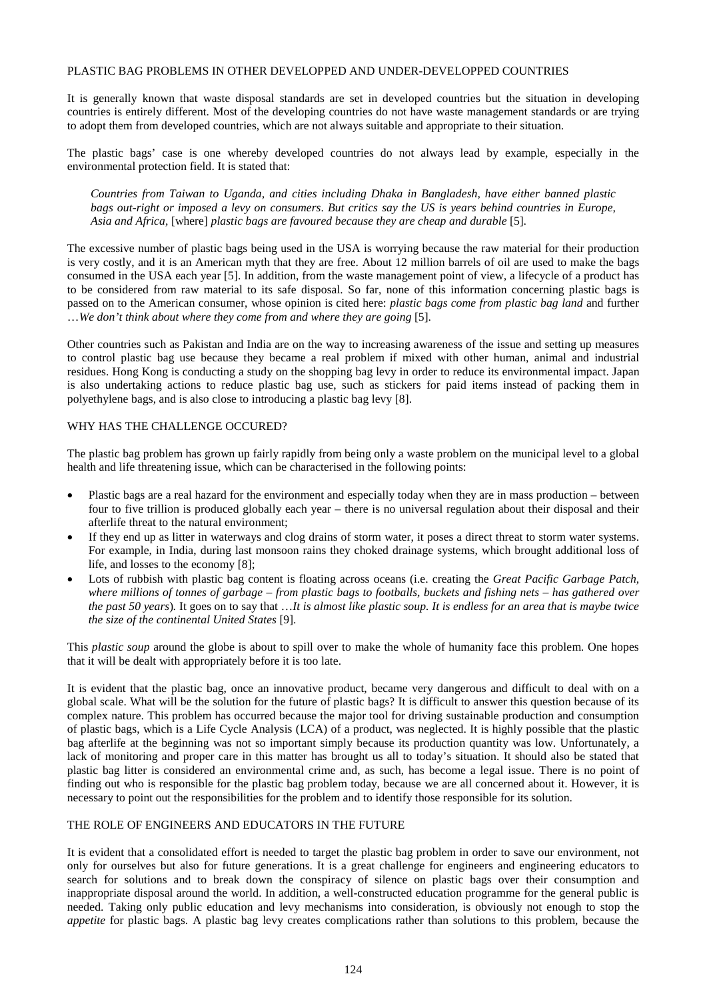#### PLASTIC BAG PROBLEMS IN OTHER DEVELOPPED AND UNDER-DEVELOPPED COUNTRIES

It is generally known that waste disposal standards are set in developed countries but the situation in developing countries is entirely different. Most of the developing countries do not have waste management standards or are trying to adopt them from developed countries, which are not always suitable and appropriate to their situation.

The plastic bags' case is one whereby developed countries do not always lead by example, especially in the environmental protection field. It is stated that:

*Countries from Taiwan to Uganda, and cities including Dhaka in Bangladesh, have either banned plastic bags out-right or imposed a levy on consumers*. *But critics say the US is years behind countries in Europe, Asia and Africa,* [where] *plastic bags are favoured because they are cheap and durable* [5].

The excessive number of plastic bags being used in the USA is worrying because the raw material for their production is very costly, and it is an American myth that they are free. About 12 million barrels of oil are used to make the bags consumed in the USA each year [5]. In addition, from the waste management point of view, a lifecycle of a product has to be considered from raw material to its safe disposal. So far, none of this information concerning plastic bags is passed on to the American consumer, whose opinion is cited here: *plastic bags come from plastic bag land* and further …*We don't think about where they come from and where they are going* [5].

Other countries such as Pakistan and India are on the way to increasing awareness of the issue and setting up measures to control plastic bag use because they became a real problem if mixed with other human, animal and industrial residues. Hong Kong is conducting a study on the shopping bag levy in order to reduce its environmental impact. Japan is also undertaking actions to reduce plastic bag use, such as stickers for paid items instead of packing them in polyethylene bags, and is also close to introducing a plastic bag levy [8].

#### WHY HAS THE CHALLENGE OCCURED?

The plastic bag problem has grown up fairly rapidly from being only a waste problem on the municipal level to a global health and life threatening issue, which can be characterised in the following points:

- Plastic bags are a real hazard for the environment and especially today when they are in mass production between four to five trillion is produced globally each year – there is no universal regulation about their disposal and their afterlife threat to the natural environment;
- If they end up as litter in waterways and clog drains of storm water, it poses a direct threat to storm water systems. For example, in India, during last monsoon rains they choked drainage systems, which brought additional loss of life, and losses to the economy [8];
- Lots of rubbish with plastic bag content is floating across oceans (i.e. creating the *Great Pacific Garbage Patch, where millions of tonnes of garbage – from plastic bags to footballs, buckets and fishing nets – has gathered over the past 50 years*)*.* It goes on to say that …*It is almost like plastic soup. It is endless for an area that is maybe twice the size of the continental United States* [9].

This *plastic soup* around the globe is about to spill over to make the whole of humanity face this problem. One hopes that it will be dealt with appropriately before it is too late.

It is evident that the plastic bag, once an innovative product, became very dangerous and difficult to deal with on a global scale. What will be the solution for the future of plastic bags? It is difficult to answer this question because of its complex nature. This problem has occurred because the major tool for driving sustainable production and consumption of plastic bags, which is a Life Cycle Analysis (LCA) of a product, was neglected. It is highly possible that the plastic bag afterlife at the beginning was not so important simply because its production quantity was low. Unfortunately, a lack of monitoring and proper care in this matter has brought us all to today's situation. It should also be stated that plastic bag litter is considered an environmental crime and, as such, has become a legal issue. There is no point of finding out who is responsible for the plastic bag problem today, because we are all concerned about it. However, it is necessary to point out the responsibilities for the problem and to identify those responsible for its solution.

## THE ROLE OF ENGINEERS AND EDUCATORS IN THE FUTURE

It is evident that a consolidated effort is needed to target the plastic bag problem in order to save our environment, not only for ourselves but also for future generations. It is a great challenge for engineers and engineering educators to search for solutions and to break down the conspiracy of silence on plastic bags over their consumption and inappropriate disposal around the world. In addition, a well-constructed education programme for the general public is needed. Taking only public education and levy mechanisms into consideration, is obviously not enough to stop the *appetite* for plastic bags. A plastic bag levy creates complications rather than solutions to this problem, because the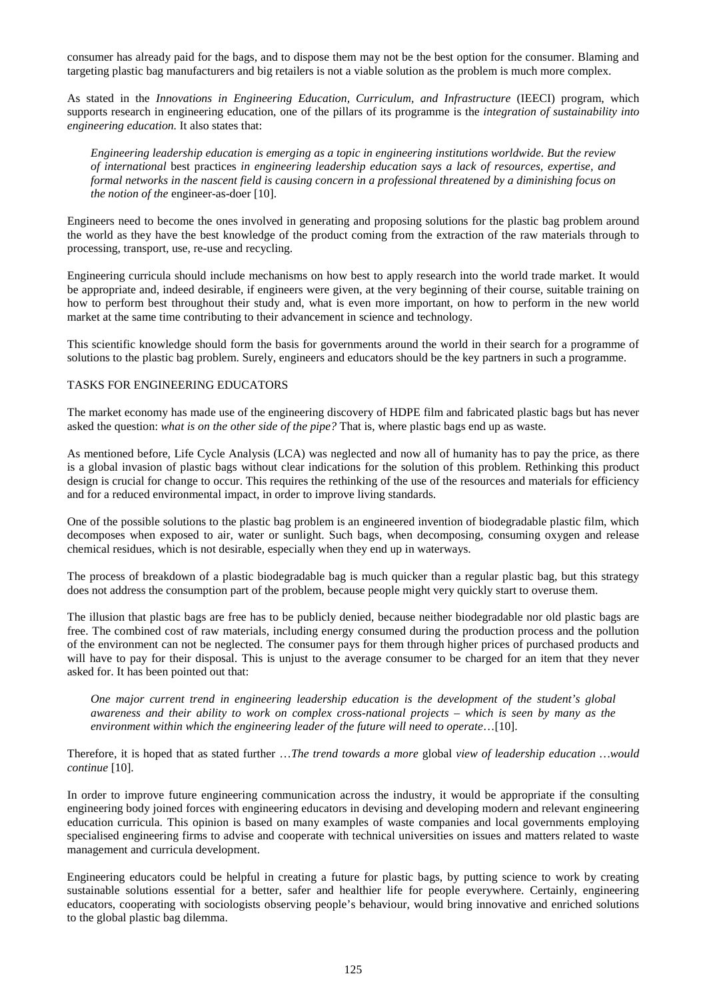consumer has already paid for the bags, and to dispose them may not be the best option for the consumer. Blaming and targeting plastic bag manufacturers and big retailers is not a viable solution as the problem is much more complex.

As stated in the *Innovations in Engineering Education, Curriculum, and Infrastructure* (IEECI) program, which supports research in engineering education, one of the pillars of its programme is the *integration of sustainability into engineering education.* It also states that:

*Engineering leadership education is emerging as a topic in engineering institutions worldwide. But the review of international* best practices *in engineering leadership education says a lack of resources, expertise, and formal networks in the nascent field is causing concern in a professional threatened by a diminishing focus on the notion of the* engineer-as-doer [10].

Engineers need to become the ones involved in generating and proposing solutions for the plastic bag problem around the world as they have the best knowledge of the product coming from the extraction of the raw materials through to processing, transport, use, re-use and recycling.

Engineering curricula should include mechanisms on how best to apply research into the world trade market. It would be appropriate and, indeed desirable, if engineers were given, at the very beginning of their course, suitable training on how to perform best throughout their study and, what is even more important, on how to perform in the new world market at the same time contributing to their advancement in science and technology.

This scientific knowledge should form the basis for governments around the world in their search for a programme of solutions to the plastic bag problem. Surely, engineers and educators should be the key partners in such a programme.

## TASKS FOR ENGINEERING EDUCATORS

The market economy has made use of the engineering discovery of HDPE film and fabricated plastic bags but has never asked the question: *what is on the other side of the pipe?* That is, where plastic bags end up as waste.

As mentioned before, Life Cycle Analysis (LCA) was neglected and now all of humanity has to pay the price, as there is a global invasion of plastic bags without clear indications for the solution of this problem. Rethinking this product design is crucial for change to occur. This requires the rethinking of the use of the resources and materials for efficiency and for a reduced environmental impact, in order to improve living standards.

One of the possible solutions to the plastic bag problem is an engineered invention of biodegradable plastic film, which decomposes when exposed to air, water or sunlight. Such bags, when decomposing, consuming oxygen and release chemical residues, which is not desirable, especially when they end up in waterways.

The process of breakdown of a plastic biodegradable bag is much quicker than a regular plastic bag, but this strategy does not address the consumption part of the problem, because people might very quickly start to overuse them.

The illusion that plastic bags are free has to be publicly denied, because neither biodegradable nor old plastic bags are free. The combined cost of raw materials, including energy consumed during the production process and the pollution of the environment can not be neglected. The consumer pays for them through higher prices of purchased products and will have to pay for their disposal. This is unjust to the average consumer to be charged for an item that they never asked for. It has been pointed out that:

*One major current trend in engineering leadership education is the development of the student's global awareness and their ability to work on complex cross-national projects – which is seen by many as the environment within which the engineering leader of the future will need to operate*…[10].

Therefore, it is hoped that as stated further …*The trend towards a more* global *view of leadership education …would continue* [10].

In order to improve future engineering communication across the industry, it would be appropriate if the consulting engineering body joined forces with engineering educators in devising and developing modern and relevant engineering education curricula. This opinion is based on many examples of waste companies and local governments employing specialised engineering firms to advise and cooperate with technical universities on issues and matters related to waste management and curricula development.

Engineering educators could be helpful in creating a future for plastic bags, by putting science to work by creating sustainable solutions essential for a better, safer and healthier life for people everywhere. Certainly, engineering educators, cooperating with sociologists observing people's behaviour, would bring innovative and enriched solutions to the global plastic bag dilemma.